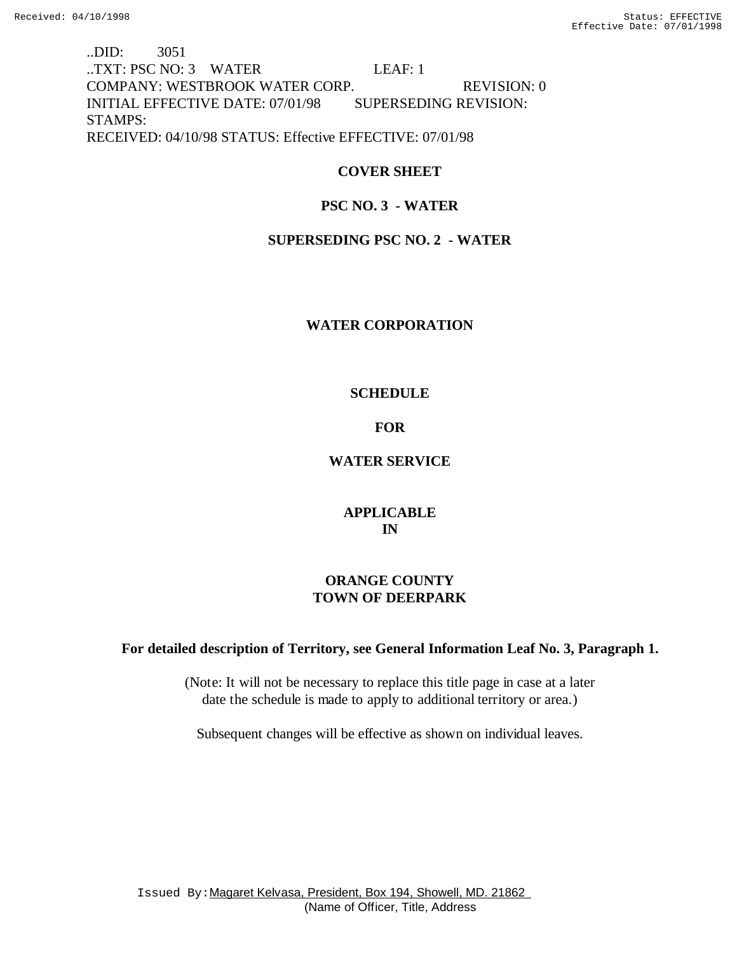..DID: 3051 ..TXT: PSC NO: 3 WATER LEAF: 1 COMPANY: WESTBROOK WATER CORP. REVISION: 0 INITIAL EFFECTIVE DATE: 07/01/98 SUPERSEDING REVISION: STAMPS: RECEIVED: 04/10/98 STATUS: Effective EFFECTIVE: 07/01/98

# **COVER SHEET**

# **PSC NO. 3 - WATER**

# **SUPERSEDING PSC NO. 2 - WATER**

# **WATER CORPORATION**

# **SCHEDULE**

# **FOR**

# **WATER SERVICE**

# **APPLICABLE IN**

# **ORANGE COUNTY TOWN OF DEERPARK**

# **For detailed description of Territory, see General Information Leaf No. 3, Paragraph 1.**

(Note: It will not be necessary to replace this title page in case at a later date the schedule is made to apply to additional territory or area.)

Subsequent changes will be effective as shown on individual leaves.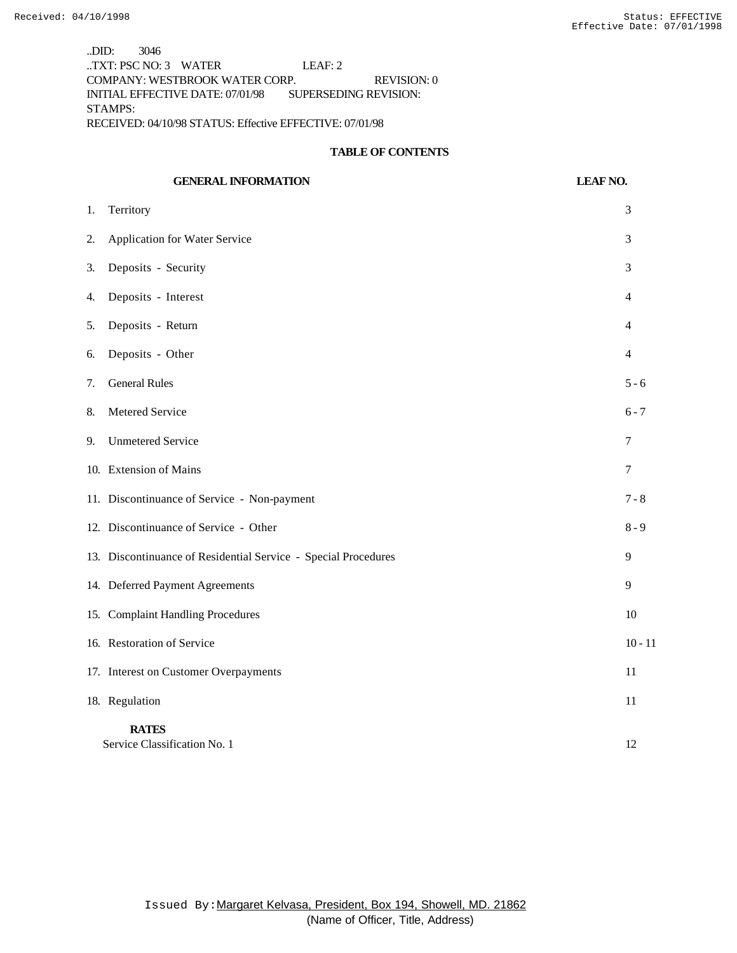..DID: 3046 ..TXT: PSC NO: 3 WATER LEAF: 2 COMPANY: WESTBROOK WATER CORP. REVISION: 0 INITIAL EFFECTIVE DATE: 07/01/98 SUPERSEDING REVISION: STAMPS: RECEIVED: 04/10/98 STATUS: Effective EFFECTIVE: 07/01/98

#### **TABLE OF CONTENTS**

|    | <b>GENERAL INFORMATION</b>                                     | <b>LEAF NO.</b>  |
|----|----------------------------------------------------------------|------------------|
| 1. | Territory                                                      | 3                |
| 2. | Application for Water Service                                  | 3                |
| 3. | Deposits - Security                                            | 3                |
| 4. | Deposits - Interest                                            | 4                |
| 5. | Deposits - Return                                              | 4                |
| 6. | Deposits - Other                                               | 4                |
| 7. | <b>General Rules</b>                                           | $5 - 6$          |
| 8. | Metered Service                                                | $6 - 7$          |
| 9. | <b>Unmetered Service</b>                                       | 7                |
|    | 10. Extension of Mains                                         | $\boldsymbol{7}$ |
|    | 11. Discontinuance of Service - Non-payment                    | $7 - 8$          |
|    | 12. Discontinuance of Service - Other                          | $8 - 9$          |
|    | 13. Discontinuance of Residential Service - Special Procedures | 9                |
|    | 14. Deferred Payment Agreements                                | 9                |
|    | 15. Complaint Handling Procedures                              | 10               |
|    | 16. Restoration of Service                                     | $10 - 11$        |
|    | 17. Interest on Customer Overpayments                          | 11               |
|    | 18. Regulation                                                 | 11               |
|    | <b>RATES</b><br>Service Classification No. 1                   | 12               |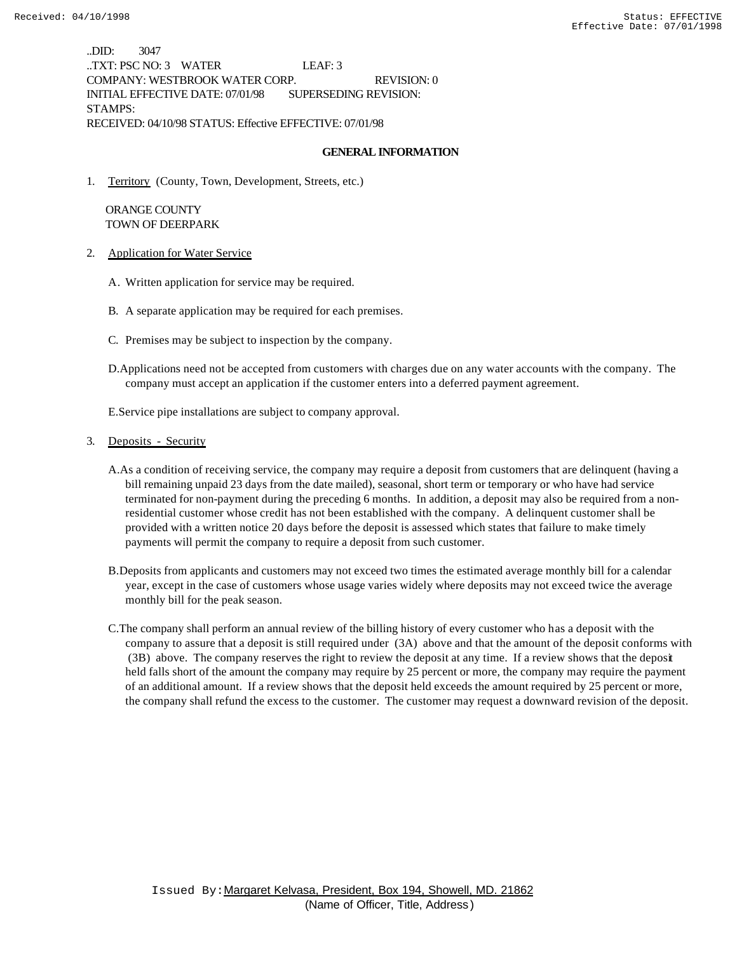..DID: 3047 ..TXT: PSC NO: 3 WATER LEAF: 3 COMPANY: WESTBROOK WATER CORP. REVISION: 0 INITIAL EFFECTIVE DATE: 07/01/98 SUPERSEDING REVISION: STAMPS: RECEIVED: 04/10/98 STATUS: Effective EFFECTIVE: 07/01/98

#### **GENERAL INFORMATION**

1. Territory (County, Town, Development, Streets, etc.)

 ORANGE COUNTY TOWN OF DEERPARK

- 2. Application for Water Service
	- A. Written application for service may be required.
	- B. A separate application may be required for each premises.
	- C. Premises may be subject to inspection by the company.
	- D.Applications need not be accepted from customers with charges due on any water accounts with the company. The company must accept an application if the customer enters into a deferred payment agreement.

E.Service pipe installations are subject to company approval.

#### 3. Deposits - Security

- A.As a condition of receiving service, the company may require a deposit from customers that are delinquent (having a bill remaining unpaid 23 days from the date mailed), seasonal, short term or temporary or who have had service terminated for non-payment during the preceding 6 months. In addition, a deposit may also be required from a nonresidential customer whose credit has not been established with the company. A delinquent customer shall be provided with a written notice 20 days before the deposit is assessed which states that failure to make timely payments will permit the company to require a deposit from such customer.
- B.Deposits from applicants and customers may not exceed two times the estimated average monthly bill for a calendar year, except in the case of customers whose usage varies widely where deposits may not exceed twice the average monthly bill for the peak season.
- C.The company shall perform an annual review of the billing history of every customer who has a deposit with the company to assure that a deposit is still required under (3A) above and that the amount of the deposit conforms with (3B) above. The company reserves the right to review the deposit at any time. If a review shows that the deposit held falls short of the amount the company may require by 25 percent or more, the company may require the payment of an additional amount. If a review shows that the deposit held exceeds the amount required by 25 percent or more, the company shall refund the excess to the customer. The customer may request a downward revision of the deposit.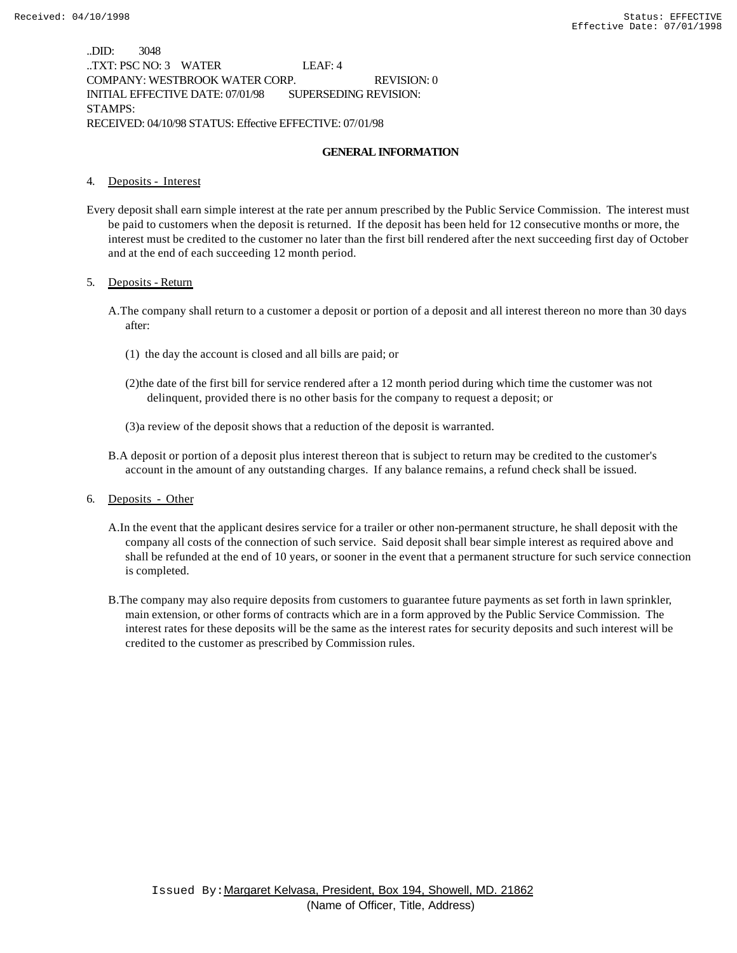..DID: 3048 ..TXT: PSC NO: 3 WATER LEAF: 4 COMPANY: WESTBROOK WATER CORP. REVISION: 0 INITIAL EFFECTIVE DATE: 07/01/98 SUPERSEDING REVISION: STAMPS: RECEIVED: 04/10/98 STATUS: Effective EFFECTIVE: 07/01/98

#### **GENERAL INFORMATION**

#### 4. Deposits - Interest

Every deposit shall earn simple interest at the rate per annum prescribed by the Public Service Commission. The interest must be paid to customers when the deposit is returned. If the deposit has been held for 12 consecutive months or more, the interest must be credited to the customer no later than the first bill rendered after the next succeeding first day of October and at the end of each succeeding 12 month period.

#### 5. Deposits - Return

- A.The company shall return to a customer a deposit or portion of a deposit and all interest thereon no more than 30 days after:
	- (1) the day the account is closed and all bills are paid; or
	- (2)the date of the first bill for service rendered after a 12 month period during which time the customer was not delinquent, provided there is no other basis for the company to request a deposit; or
	- (3)a review of the deposit shows that a reduction of the deposit is warranted.
- B.A deposit or portion of a deposit plus interest thereon that is subject to return may be credited to the customer's account in the amount of any outstanding charges. If any balance remains, a refund check shall be issued.
- 6. Deposits Other
	- A.In the event that the applicant desires service for a trailer or other non-permanent structure, he shall deposit with the company all costs of the connection of such service. Said deposit shall bear simple interest as required above and shall be refunded at the end of 10 years, or sooner in the event that a permanent structure for such service connection is completed.
	- B.The company may also require deposits from customers to guarantee future payments as set forth in lawn sprinkler, main extension, or other forms of contracts which are in a form approved by the Public Service Commission. The interest rates for these deposits will be the same as the interest rates for security deposits and such interest will be credited to the customer as prescribed by Commission rules.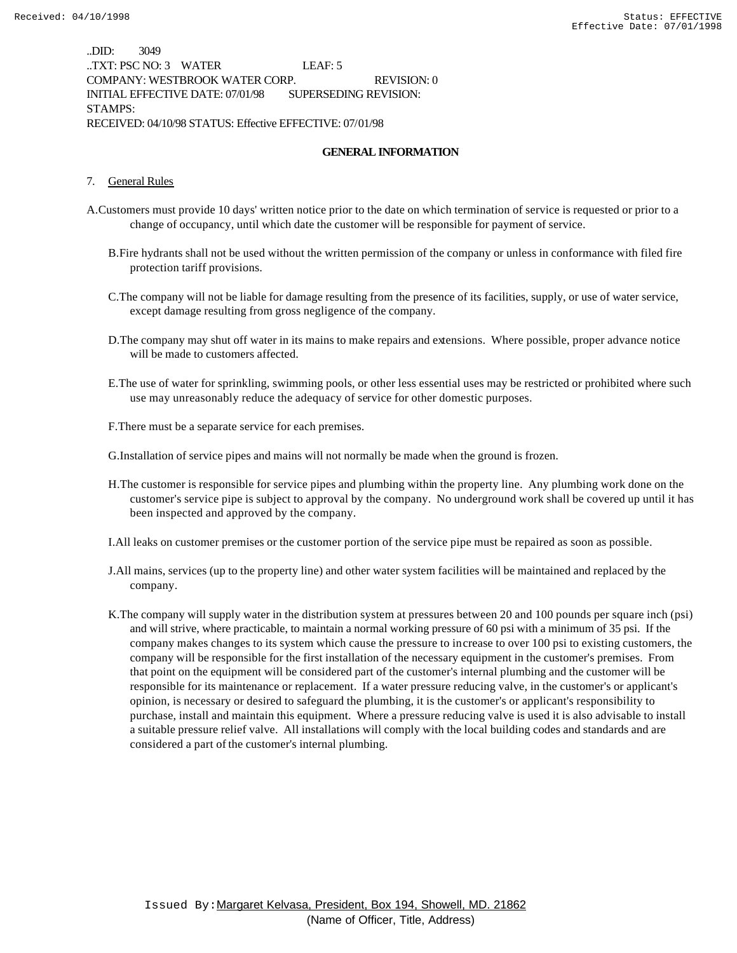..DID: 3049 ..TXT: PSC NO: 3 WATER LEAF: 5 COMPANY: WESTBROOK WATER CORP. REVISION: 0 INITIAL EFFECTIVE DATE: 07/01/98 SUPERSEDING REVISION: STAMPS: RECEIVED: 04/10/98 STATUS: Effective EFFECTIVE: 07/01/98

#### **GENERAL INFORMATION**

#### 7. General Rules

- A.Customers must provide 10 days' written notice prior to the date on which termination of service is requested or prior to a change of occupancy, until which date the customer will be responsible for payment of service.
	- B.Fire hydrants shall not be used without the written permission of the company or unless in conformance with filed fire protection tariff provisions.
	- C.The company will not be liable for damage resulting from the presence of its facilities, supply, or use of water service, except damage resulting from gross negligence of the company.
	- D.The company may shut off water in its mains to make repairs and extensions. Where possible, proper advance notice will be made to customers affected.
	- E.The use of water for sprinkling, swimming pools, or other less essential uses may be restricted or prohibited where such use may unreasonably reduce the adequacy of service for other domestic purposes.
	- F.There must be a separate service for each premises.

G.Installation of service pipes and mains will not normally be made when the ground is frozen.

- H.The customer is responsible for service pipes and plumbing within the property line. Any plumbing work done on the customer's service pipe is subject to approval by the company. No underground work shall be covered up until it has been inspected and approved by the company.
- I.All leaks on customer premises or the customer portion of the service pipe must be repaired as soon as possible.
- J.All mains, services (up to the property line) and other water system facilities will be maintained and replaced by the company.
- K.The company will supply water in the distribution system at pressures between 20 and 100 pounds per square inch (psi) and will strive, where practicable, to maintain a normal working pressure of 60 psi with a minimum of 35 psi. If the company makes changes to its system which cause the pressure to increase to over 100 psi to existing customers, the company will be responsible for the first installation of the necessary equipment in the customer's premises. From that point on the equipment will be considered part of the customer's internal plumbing and the customer will be responsible for its maintenance or replacement. If a water pressure reducing valve, in the customer's or applicant's opinion, is necessary or desired to safeguard the plumbing, it is the customer's or applicant's responsibility to purchase, install and maintain this equipment. Where a pressure reducing valve is used it is also advisable to install a suitable pressure relief valve. All installations will comply with the local building codes and standards and are considered a part of the customer's internal plumbing.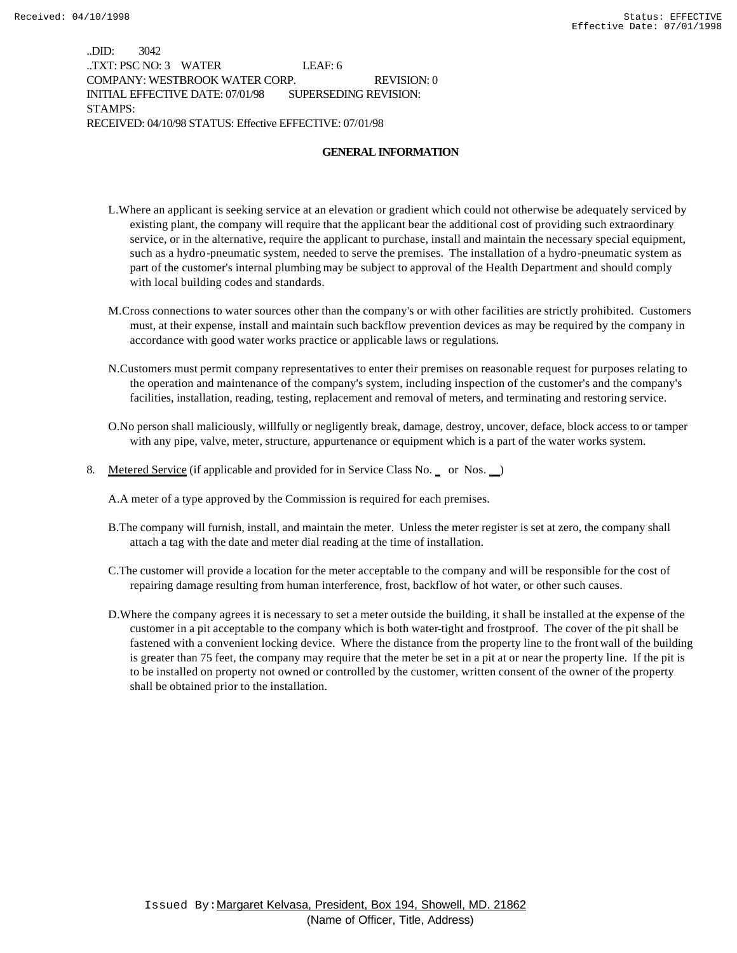..DID: 3042 ..TXT: PSC NO: 3 WATER LEAF: 6 COMPANY: WESTBROOK WATER CORP. REVISION: 0 INITIAL EFFECTIVE DATE: 07/01/98 SUPERSEDING REVISION: STAMPS: RECEIVED: 04/10/98 STATUS: Effective EFFECTIVE: 07/01/98

#### **GENERAL INFORMATION**

- L.Where an applicant is seeking service at an elevation or gradient which could not otherwise be adequately serviced by existing plant, the company will require that the applicant bear the additional cost of providing such extraordinary service, or in the alternative, require the applicant to purchase, install and maintain the necessary special equipment, such as a hydro-pneumatic system, needed to serve the premises. The installation of a hydro-pneumatic system as part of the customer's internal plumbing may be subject to approval of the Health Department and should comply with local building codes and standards.
- M.Cross connections to water sources other than the company's or with other facilities are strictly prohibited. Customers must, at their expense, install and maintain such backflow prevention devices as may be required by the company in accordance with good water works practice or applicable laws or regulations.
- N.Customers must permit company representatives to enter their premises on reasonable request for purposes relating to the operation and maintenance of the company's system, including inspection of the customer's and the company's facilities, installation, reading, testing, replacement and removal of meters, and terminating and restoring service.
- O.No person shall maliciously, willfully or negligently break, damage, destroy, uncover, deface, block access to or tamper with any pipe, valve, meter, structure, appurtenance or equipment which is a part of the water works system.
- 8. Metered Service (if applicable and provided for in Service Class No. or Nos. )

A.A meter of a type approved by the Commission is required for each premises.

- B.The company will furnish, install, and maintain the meter. Unless the meter register is set at zero, the company shall attach a tag with the date and meter dial reading at the time of installation.
- C.The customer will provide a location for the meter acceptable to the company and will be responsible for the cost of repairing damage resulting from human interference, frost, backflow of hot water, or other such causes.
- D.Where the company agrees it is necessary to set a meter outside the building, it shall be installed at the expense of the customer in a pit acceptable to the company which is both water-tight and frostproof. The cover of the pit shall be fastened with a convenient locking device. Where the distance from the property line to the front wall of the building is greater than 75 feet, the company may require that the meter be set in a pit at or near the property line. If the pit is to be installed on property not owned or controlled by the customer, written consent of the owner of the property shall be obtained prior to the installation.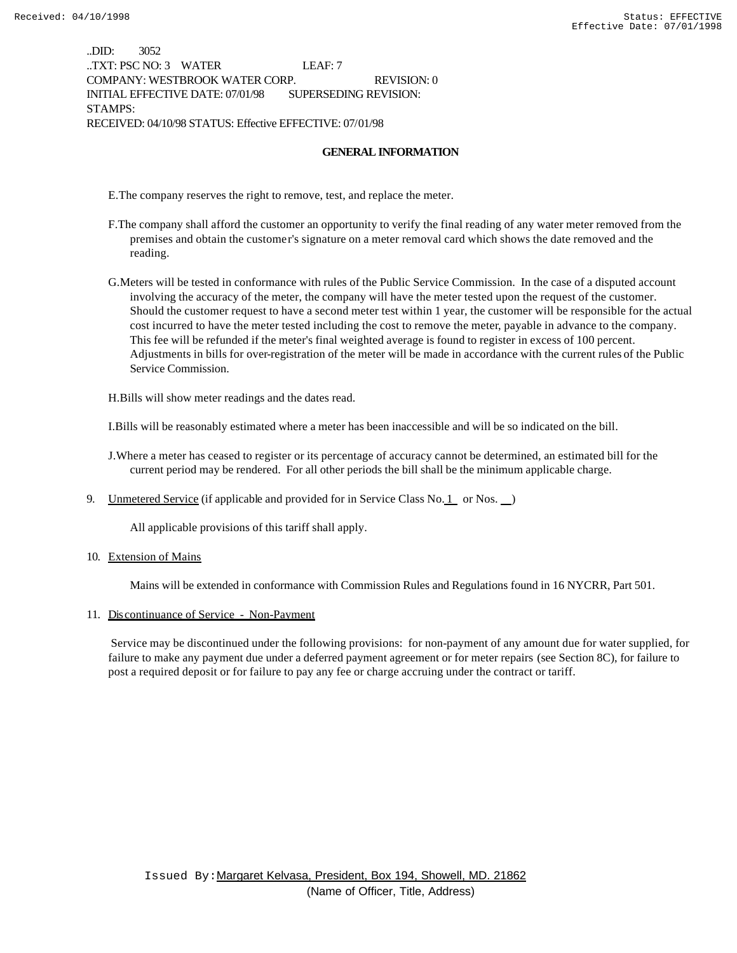..DID: 3052 ..TXT: PSC NO: 3 WATER LEAF: 7 COMPANY: WESTBROOK WATER CORP. REVISION: 0 INITIAL EFFECTIVE DATE: 07/01/98 SUPERSEDING REVISION: STAMPS: RECEIVED: 04/10/98 STATUS: Effective EFFECTIVE: 07/01/98

#### **GENERAL INFORMATION**

E.The company reserves the right to remove, test, and replace the meter.

- F.The company shall afford the customer an opportunity to verify the final reading of any water meter removed from the premises and obtain the customer's signature on a meter removal card which shows the date removed and the reading.
- G.Meters will be tested in conformance with rules of the Public Service Commission. In the case of a disputed account involving the accuracy of the meter, the company will have the meter tested upon the request of the customer. Should the customer request to have a second meter test within 1 year, the customer will be responsible for the actual cost incurred to have the meter tested including the cost to remove the meter, payable in advance to the company. This fee will be refunded if the meter's final weighted average is found to register in excess of 100 percent. Adjustments in bills for over-registration of the meter will be made in accordance with the current rules of the Public Service Commission.

H.Bills will show meter readings and the dates read.

I.Bills will be reasonably estimated where a meter has been inaccessible and will be so indicated on the bill.

- J.Where a meter has ceased to register or its percentage of accuracy cannot be determined, an estimated bill for the current period may be rendered. For all other periods the bill shall be the minimum applicable charge.
- 9. Unmetered Service (if applicable and provided for in Service Class No.  $1$  or Nos.  $\Box$ )

All applicable provisions of this tariff shall apply.

10. Extension of Mains

Mains will be extended in conformance with Commission Rules and Regulations found in 16 NYCRR, Part 501.

#### 11. Discontinuance of Service - Non-Payment

 Service may be discontinued under the following provisions: for non-payment of any amount due for water supplied, for failure to make any payment due under a deferred payment agreement or for meter repairs (see Section 8C), for failure to post a required deposit or for failure to pay any fee or charge accruing under the contract or tariff.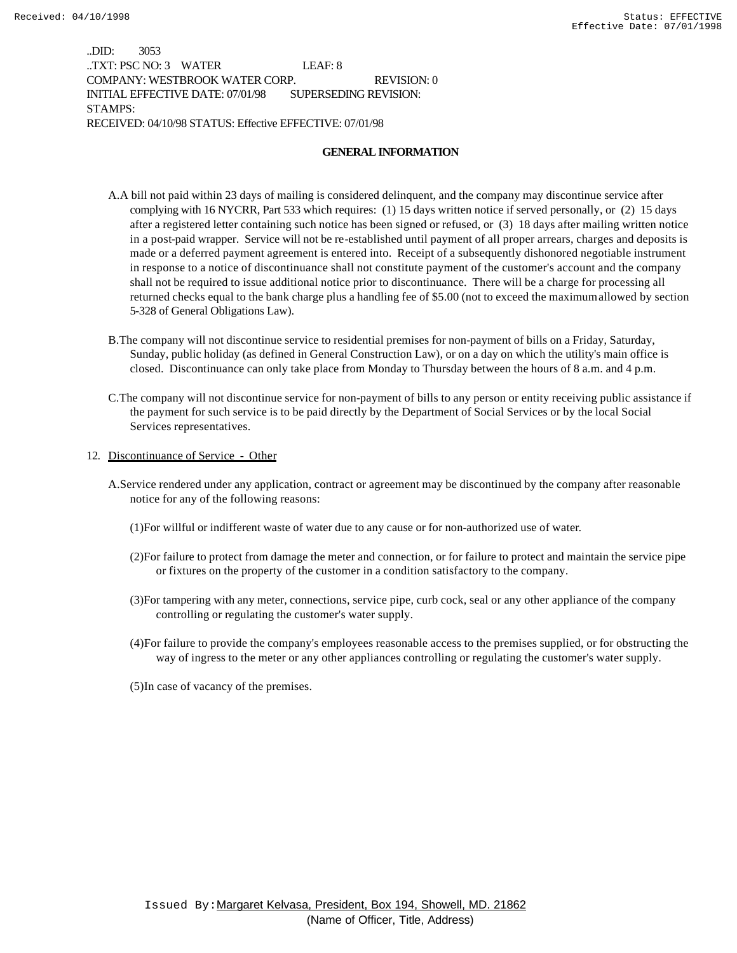..DID: 3053 ..TXT: PSC NO: 3 WATER LEAF: 8 COMPANY: WESTBROOK WATER CORP. REVISION: 0 INITIAL EFFECTIVE DATE: 07/01/98 SUPERSEDING REVISION: STAMPS: RECEIVED: 04/10/98 STATUS: Effective EFFECTIVE: 07/01/98

#### **GENERAL INFORMATION**

- A.A bill not paid within 23 days of mailing is considered delinquent, and the company may discontinue service after complying with 16 NYCRR, Part 533 which requires: (1) 15 days written notice if served personally, or (2) 15 days after a registered letter containing such notice has been signed or refused, or (3) 18 days after mailing written notice in a post-paid wrapper. Service will not be re-established until payment of all proper arrears, charges and deposits is made or a deferred payment agreement is entered into. Receipt of a subsequently dishonored negotiable instrument in response to a notice of discontinuance shall not constitute payment of the customer's account and the company shall not be required to issue additional notice prior to discontinuance. There will be a charge for processing all returned checks equal to the bank charge plus a handling fee of \$5.00 (not to exceed the maximum allowed by section 5-328 of General Obligations Law).
- B.The company will not discontinue service to residential premises for non-payment of bills on a Friday, Saturday, Sunday, public holiday (as defined in General Construction Law), or on a day on which the utility's main office is closed. Discontinuance can only take place from Monday to Thursday between the hours of 8 a.m. and 4 p.m.
- C.The company will not discontinue service for non-payment of bills to any person or entity receiving public assistance if the payment for such service is to be paid directly by the Department of Social Services or by the local Social Services representatives.
- 12. Discontinuance of Service Other
	- A.Service rendered under any application, contract or agreement may be discontinued by the company after reasonable notice for any of the following reasons:
		- (1)For willful or indifferent waste of water due to any cause or for non-authorized use of water.
		- (2)For failure to protect from damage the meter and connection, or for failure to protect and maintain the service pipe or fixtures on the property of the customer in a condition satisfactory to the company.
		- (3)For tampering with any meter, connections, service pipe, curb cock, seal or any other appliance of the company controlling or regulating the customer's water supply.
		- (4)For failure to provide the company's employees reasonable access to the premises supplied, or for obstructing the way of ingress to the meter or any other appliances controlling or regulating the customer's water supply.
		- (5)In case of vacancy of the premises.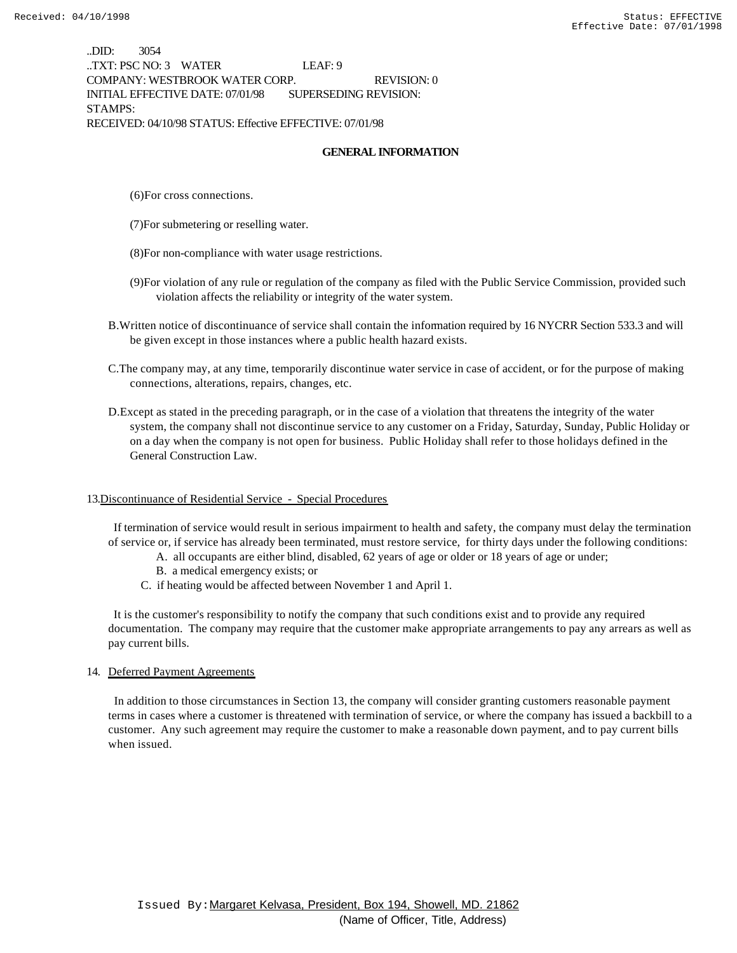..DID: 3054 ..TXT: PSC NO: 3 WATER LEAF: 9 COMPANY: WESTBROOK WATER CORP. REVISION: 0 INITIAL EFFECTIVE DATE: 07/01/98 SUPERSEDING REVISION: STAMPS: RECEIVED: 04/10/98 STATUS: Effective EFFECTIVE: 07/01/98

#### **GENERAL INFORMATION**

- (6)For cross connections.
- (7)For submetering or reselling water.
- (8)For non-compliance with water usage restrictions.
- (9)For violation of any rule or regulation of the company as filed with the Public Service Commission, provided such violation affects the reliability or integrity of the water system.
- B.Written notice of discontinuance of service shall contain the information required by 16 NYCRR Section 533.3 and will be given except in those instances where a public health hazard exists.
- C.The company may, at any time, temporarily discontinue water service in case of accident, or for the purpose of making connections, alterations, repairs, changes, etc.
- D.Except as stated in the preceding paragraph, or in the case of a violation that threatens the integrity of the water system, the company shall not discontinue service to any customer on a Friday, Saturday, Sunday, Public Holiday or on a day when the company is not open for business. Public Holiday shall refer to those holidays defined in the General Construction Law.

#### 13.Discontinuance of Residential Service - Special Procedures

 If termination of service would result in serious impairment to health and safety, the company must delay the termination of service or, if service has already been terminated, must restore service, for thirty days under the following conditions:

- A. all occupants are either blind, disabled, 62 years of age or older or 18 years of age or under;
- B. a medical emergency exists; or
- C. if heating would be affected between November 1 and April 1.

 It is the customer's responsibility to notify the company that such conditions exist and to provide any required documentation. The company may require that the customer make appropriate arrangements to pay any arrears as well as pay current bills.

#### 14. Deferred Payment Agreements

 In addition to those circumstances in Section 13, the company will consider granting customers reasonable payment terms in cases where a customer is threatened with termination of service, or where the company has issued a backbill to a customer. Any such agreement may require the customer to make a reasonable down payment, and to pay current bills when issued.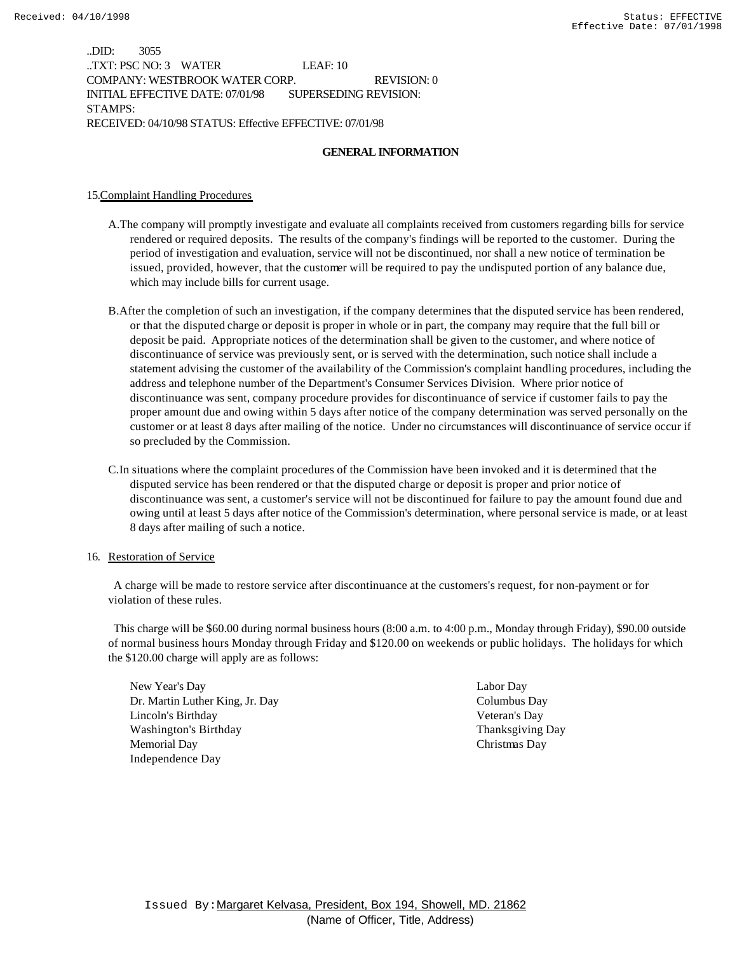..DID: 3055 ..TXT: PSC NO: 3 WATER LEAF: 10 COMPANY: WESTBROOK WATER CORP. REVISION: 0 INITIAL EFFECTIVE DATE: 07/01/98 SUPERSEDING REVISION: STAMPS: RECEIVED: 04/10/98 STATUS: Effective EFFECTIVE: 07/01/98

#### **GENERAL INFORMATION**

#### 15.Complaint Handling Procedures

- A.The company will promptly investigate and evaluate all complaints received from customers regarding bills for service rendered or required deposits. The results of the company's findings will be reported to the customer. During the period of investigation and evaluation, service will not be discontinued, nor shall a new notice of termination be issued, provided, however, that the customer will be required to pay the undisputed portion of any balance due, which may include bills for current usage.
- B.After the completion of such an investigation, if the company determines that the disputed service has been rendered, or that the disputed charge or deposit is proper in whole or in part, the company may require that the full bill or deposit be paid. Appropriate notices of the determination shall be given to the customer, and where notice of discontinuance of service was previously sent, or is served with the determination, such notice shall include a statement advising the customer of the availability of the Commission's complaint handling procedures, including the address and telephone number of the Department's Consumer Services Division. Where prior notice of discontinuance was sent, company procedure provides for discontinuance of service if customer fails to pay the proper amount due and owing within 5 days after notice of the company determination was served personally on the customer or at least 8 days after mailing of the notice. Under no circumstances will discontinuance of service occur if so precluded by the Commission.
- C.In situations where the complaint procedures of the Commission have been invoked and it is determined that the disputed service has been rendered or that the disputed charge or deposit is proper and prior notice of discontinuance was sent, a customer's service will not be discontinued for failure to pay the amount found due and owing until at least 5 days after notice of the Commission's determination, where personal service is made, or at least 8 days after mailing of such a notice.

#### 16. Restoration of Service

 A charge will be made to restore service after discontinuance at the customers's request, for non-payment or for violation of these rules.

 This charge will be \$60.00 during normal business hours (8:00 a.m. to 4:00 p.m., Monday through Friday), \$90.00 outside of normal business hours Monday through Friday and \$120.00 on weekends or public holidays. The holidays for which the \$120.00 charge will apply are as follows:

New Year's Day Labor Day Dr. Martin Luther King, Jr. Day Columbus Day Lincoln's Birthday Veteran's Day Washington's Birthday Thanksgiving Day Memorial Day Christmas Day Independence Day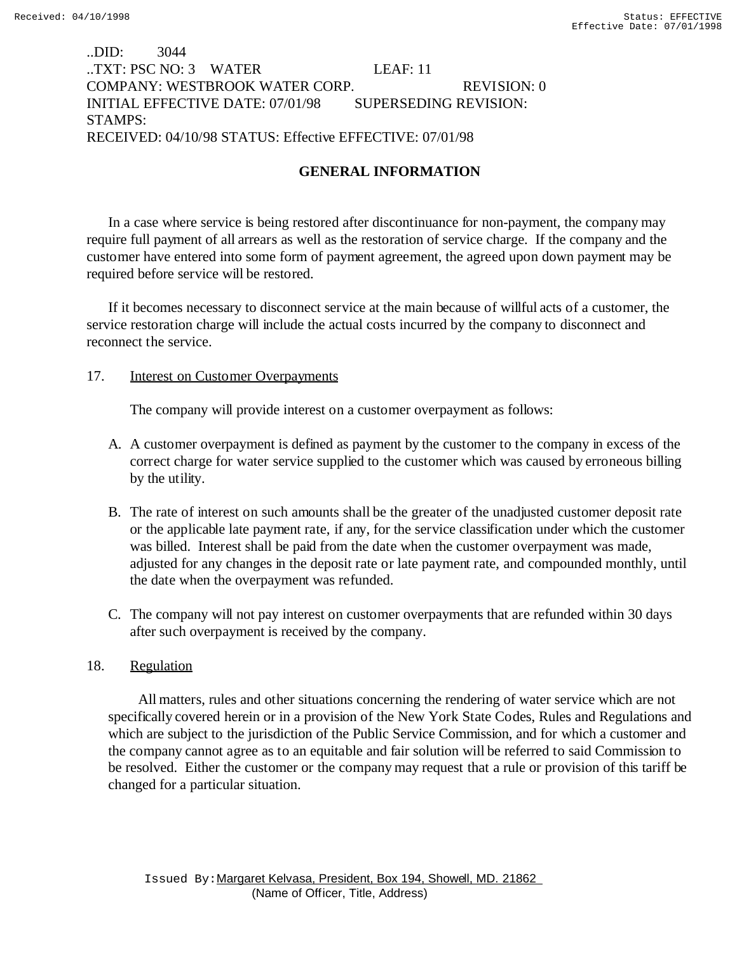# ..DID: 3044 ..TXT: PSC NO: 3 WATER LEAF: 11 COMPANY: WESTBROOK WATER CORP. REVISION: 0 INITIAL EFFECTIVE DATE: 07/01/98 SUPERSEDING REVISION: STAMPS: RECEIVED: 04/10/98 STATUS: Effective EFFECTIVE: 07/01/98

# **GENERAL INFORMATION**

In a case where service is being restored after discontinuance for non-payment, the company may require full payment of all arrears as well as the restoration of service charge. If the company and the customer have entered into some form of payment agreement, the agreed upon down payment may be required before service will be restored.

If it becomes necessary to disconnect service at the main because of willful acts of a customer, the service restoration charge will include the actual costs incurred by the company to disconnect and reconnect the service.

### 17. Interest on Customer Overpayments

The company will provide interest on a customer overpayment as follows:

- A. A customer overpayment is defined as payment by the customer to the company in excess of the correct charge for water service supplied to the customer which was caused by erroneous billing by the utility.
- B. The rate of interest on such amounts shall be the greater of the unadjusted customer deposit rate or the applicable late payment rate, if any, for the service classification under which the customer was billed. Interest shall be paid from the date when the customer overpayment was made, adjusted for any changes in the deposit rate or late payment rate, and compounded monthly, until the date when the overpayment was refunded.
- C. The company will not pay interest on customer overpayments that are refunded within 30 days after such overpayment is received by the company.

# 18. Regulation

 All matters, rules and other situations concerning the rendering of water service which are not specifically covered herein or in a provision of the New York State Codes, Rules and Regulations and which are subject to the jurisdiction of the Public Service Commission, and for which a customer and the company cannot agree as to an equitable and fair solution will be referred to said Commission to be resolved. Either the customer or the company may request that a rule or provision of this tariff be changed for a particular situation.